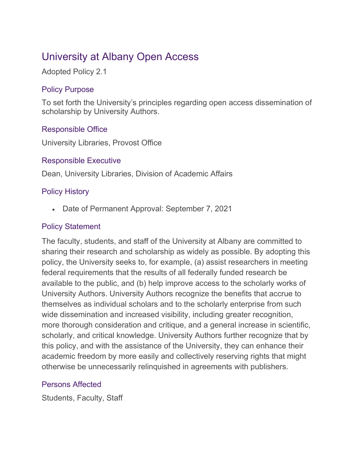# University at Albany Open Access

Adopted Policy 2.1

## Policy Purpose

To set forth the University's principles regarding open access dissemination of scholarship by University Authors.

# Responsible Office

University Libraries, Provost Office

## Responsible Executive

Dean, University Libraries, Division of Academic Affairs

## Policy History

• Date of Permanent Approval: September 7, 2021

# Policy Statement

The faculty, students, and staff of the University at Albany are committed to sharing their research and scholarship as widely as possible. By adopting this policy, the University seeks to, for example, (a) assist researchers in meeting federal requirements that the results of all federally funded research be available to the public, and (b) help improve access to the scholarly works of University Authors. University Authors recognize the benefits that accrue to themselves as individual scholars and to the scholarly enterprise from such wide dissemination and increased visibility, including greater recognition, more thorough consideration and critique, and a general increase in scientific, scholarly, and critical knowledge. University Authors further recognize that by this policy, and with the assistance of the University, they can enhance their academic freedom by more easily and collectively reserving rights that might otherwise be unnecessarily relinquished in agreements with publishers.

## Persons Affected

Students, Faculty, Staff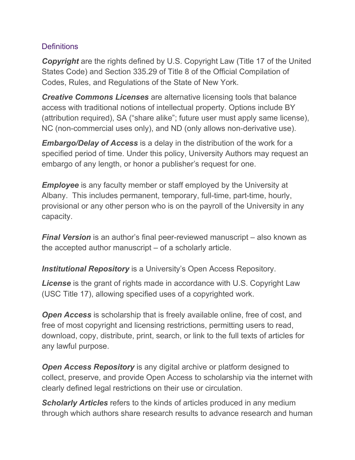## **Definitions**

*Copyright* are the rights defined by U.S. Copyright Law (Title 17 of the United States Code) and Section 335.29 of Title 8 of the Official Compilation of Codes, Rules, and Regulations of the State of New York.

*Creative Commons Licenses* are alternative licensing tools that balance access with traditional notions of intellectual property. Options include BY (attribution required), SA ("share alike"; future user must apply same license), NC (non-commercial uses only), and ND (only allows non-derivative use).

*Embargo/Delay of Access* is a delay in the distribution of the work for a specified period of time. Under this policy, University Authors may request an embargo of any length, or honor a publisher's request for one.

*Employee* is any faculty member or staff employed by the University at Albany. This includes permanent, temporary, full-time, part-time, hourly, provisional or any other person who is on the payroll of the University in any capacity.

*Final Version* is an author's final peer-reviewed manuscript – also known as the accepted author manuscript – of a scholarly article.

**Institutional Repository** is a University's Open Access Repository.

*License* is the grant of rights made in accordance with U.S. Copyright Law (USC Title 17), allowing specified uses of a copyrighted work.

*Open Access* is scholarship that is freely available online, free of cost, and free of most copyright and licensing restrictions, permitting users to read, download, copy, distribute, print, search, or link to the full texts of articles for any lawful purpose.

**Open Access Repository** is any digital archive or platform designed to collect, preserve, and provide Open Access to scholarship via the internet with clearly defined legal restrictions on their use or circulation.

*Scholarly Articles* refers to the kinds of articles produced in any medium through which authors share research results to advance research and human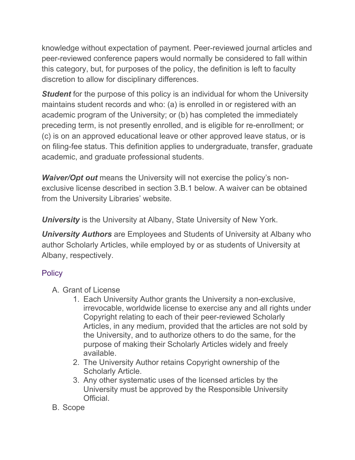knowledge without expectation of payment. Peer-reviewed journal articles and peer-reviewed conference papers would normally be considered to fall within this category, but, for purposes of the policy, the definition is left to faculty discretion to allow for disciplinary differences.

*Student* for the purpose of this policy is an individual for whom the University maintains student records and who: (a) is enrolled in or registered with an academic program of the University; or (b) has completed the immediately preceding term, is not presently enrolled, and is eligible for re-enrollment; or (c) is on an approved educational leave or other approved leave status, or is on filing-fee status. This definition applies to undergraduate, transfer, graduate academic, and graduate professional students.

*Waiver/Opt out* means the University will not exercise the policy's nonexclusive license described in section 3.B.1 below. A waiver can be obtained from the University Libraries' website.

*University* is the University at Albany, State University of New York.

*University Authors* are Employees and Students of University at Albany who author Scholarly Articles, while employed by or as students of University at Albany, respectively.

## **Policy**

- A. Grant of License
	- 1. Each University Author grants the University a non-exclusive, irrevocable, worldwide license to exercise any and all rights under Copyright relating to each of their peer-reviewed Scholarly Articles, in any medium, provided that the articles are not sold by the University, and to authorize others to do the same, for the purpose of making their Scholarly Articles widely and freely available.
	- 2. The University Author retains Copyright ownership of the Scholarly Article.
	- 3. Any other systematic uses of the licensed articles by the University must be approved by the Responsible University Official.
- B. Scope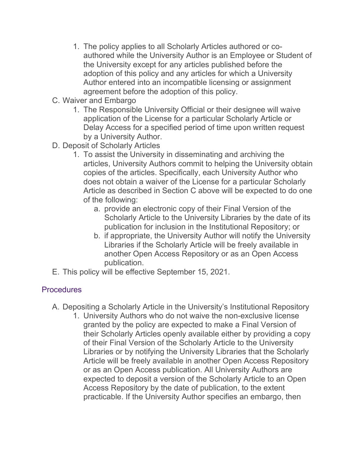- 1. The policy applies to all Scholarly Articles authored or coauthored while the University Author is an Employee or Student of the University except for any articles published before the adoption of this policy and any articles for which a University Author entered into an incompatible licensing or assignment agreement before the adoption of this policy.
- C. Waiver and Embargo
	- 1. The Responsible University Official or their designee will waive application of the License for a particular Scholarly Article or Delay Access for a specified period of time upon written request by a University Author.
- D. Deposit of Scholarly Articles
	- 1. To assist the University in disseminating and archiving the articles, University Authors commit to helping the University obtain copies of the articles. Specifically, each University Author who does not obtain a waiver of the License for a particular Scholarly Article as described in Section C above will be expected to do one of the following:
		- a. provide an electronic copy of their Final Version of the Scholarly Article to the University Libraries by the date of its publication for inclusion in the Institutional Repository; or
		- b. if appropriate, the University Author will notify the University Libraries if the Scholarly Article will be freely available in another Open Access Repository or as an Open Access publication.
- E. This policy will be effective September 15, 2021.

## **Procedures**

- A. Depositing a Scholarly Article in the University's Institutional Repository
	- 1. University Authors who do not waive the non-exclusive license granted by the policy are expected to make a Final Version of their Scholarly Articles openly available either by providing a copy of their Final Version of the Scholarly Article to the University Libraries or by notifying the University Libraries that the Scholarly Article will be freely available in another Open Access Repository or as an Open Access publication. All University Authors are expected to deposit a version of the Scholarly Article to an Open Access Repository by the date of publication, to the extent practicable. If the University Author specifies an embargo, then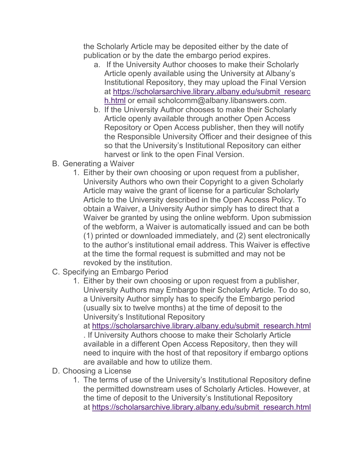the Scholarly Article may be deposited either by the date of publication or by the date the embargo period expires.

- a. If the University Author chooses to make their Scholarly Article openly available using the University at Albany's Institutional Repository, they may upload the Final Version at [https://scholarsarchive.library.albany.edu/submit\\_researc](https://scholarsarchive.library.albany.edu/submit_research.html) [h.html](https://scholarsarchive.library.albany.edu/submit_research.html) or email scholcomm@albany.libanswers.com.
- b. If the University Author chooses to make their Scholarly Article openly available through another Open Access Repository or Open Access publisher, then they will notify the Responsible University Officer and their designee of this so that the University's Institutional Repository can either harvest or link to the open Final Version.
- B. Generating a Waiver
	- 1. Either by their own choosing or upon request from a publisher, University Authors who own their Copyright to a given Scholarly Article may waive the grant of license for a particular Scholarly Article to the University described in the Open Access Policy. To obtain a Waiver, a University Author simply has to direct that a Waiver be granted by using the online webform. Upon submission of the webform, a Waiver is automatically issued and can be both (1) printed or downloaded immediately, and (2) sent electronically to the author's institutional email address. This Waiver is effective at the time the formal request is submitted and may not be revoked by the institution.
- C. Specifying an Embargo Period
	- 1. Either by their own choosing or upon request from a publisher, University Authors may Embargo their Scholarly Article. To do so, a University Author simply has to specify the Embargo period (usually six to twelve months) at the time of deposit to the University's Institutional Repository

at [https://scholarsarchive.library.albany.edu/submit\\_research.html](https://scholarsarchive.library.albany.edu/submit_research.html) . If University Authors choose to make their Scholarly Article available in a different Open Access Repository, then they will need to inquire with the host of that repository if embargo options are available and how to utilize them.

- D. Choosing a License
	- 1. The terms of use of the University's Institutional Repository define the permitted downstream uses of Scholarly Articles. However, at the time of deposit to the University's Institutional Repository at [https://scholarsarchive.library.albany.edu/submit\\_research.html](https://scholarsarchive.library.albany.edu/submit_research.html)